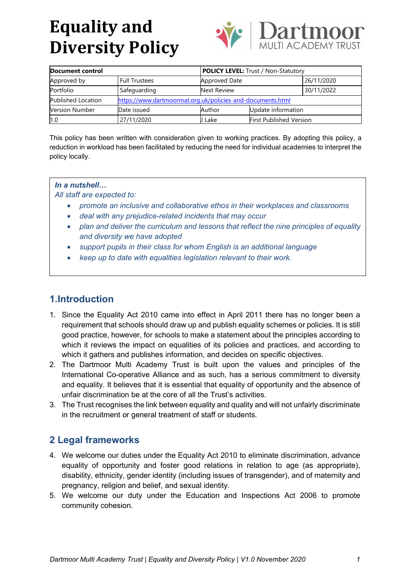

| Document control          |                                                            | <b>POLICY LEVEL:</b> Trust / Non-Statutory |                                |            |
|---------------------------|------------------------------------------------------------|--------------------------------------------|--------------------------------|------------|
| Approved by               | <b>Full Trustees</b>                                       | Approved Date                              |                                | 26/11/2020 |
| Portfolio                 | Safeguarding                                               | Next Review                                |                                | 30/11/2022 |
| <b>Published Location</b> | https://www.dartmoormat.org.uk/policies-and-documents.html |                                            |                                |            |
| <b>Version Number</b>     | Date issued                                                | Author                                     | Update information             |            |
| 1.0                       | 27/11/2020                                                 | Lake                                       | <b>First Published Version</b> |            |

This policy has been written with consideration given to working practices. By adopting this policy, a reduction in workload has been facilitated by reducing the need for individual academies to interpret the policy locally.

#### *In a nutshell…*

*All staff are expected to:*

- *promote an inclusive and collaborative ethos in their workplaces and classrooms*
- *deal with any prejudice-related incidents that may occur*
- *plan and deliver the curriculum and lessons that reflect the nine principles of equality and diversity we have adopted*
- *support pupils in their class for whom English is an additional language*
- *keep up to date with equalities legislation relevant to their work.*

## **1.Introduction**

- 1. Since the Equality Act 2010 came into effect in April 2011 there has no longer been a requirement that schools should draw up and publish equality schemes or policies. It is still good practice, however, for schools to make a statement about the principles according to which it reviews the impact on equalities of its policies and practices, and according to which it gathers and publishes information, and decides on specific objectives.
- 2. The Dartmoor Multi Academy Trust is built upon the values and principles of the International Co-operative Alliance and as such, has a serious commitment to diversity and equality. It believes that it is essential that equality of opportunity and the absence of unfair discrimination be at the core of all the Trust's activities.
- 3. The Trust recognises the link between equality and quality and will not unfairly discriminate in the recruitment or general treatment of staff or students.

## **2 Legal frameworks**

- 4. We welcome our duties under the Equality Act 2010 to eliminate discrimination, advance equality of opportunity and foster good relations in relation to age (as appropriate), disability, ethnicity, gender identity (including issues of transgender), and of maternity and pregnancy, religion and belief, and sexual identity.
- 5. We welcome our duty under the Education and Inspections Act 2006 to promote community cohesion.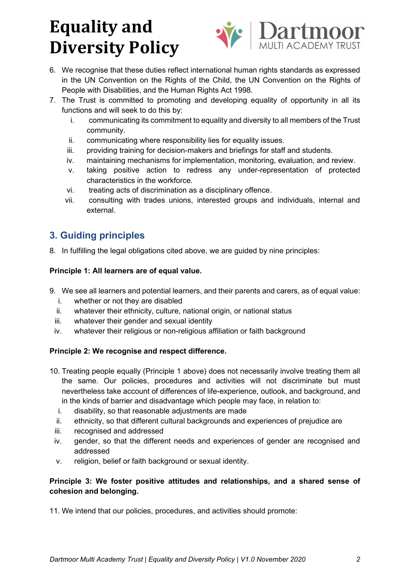

6. We recognise that these duties reflect international human rights standards as expressed in the UN Convention on the Rights of the Child, the UN Convention on the Rights of People with Disabilities, and the Human Rights Act 1998.

- 7. The Trust is committed to promoting and developing equality of opportunity in all its functions and will seek to do this by:
	- i. communicating its commitment to equality and diversity to all members of the Trust community.
	- ii. communicating where responsibility lies for equality issues.
	- iii. providing training for decision-makers and briefings for staff and students.
	- iv. maintaining mechanisms for implementation, monitoring, evaluation, and review.
	- v. taking positive action to redress any under-representation of protected characteristics in the workforce.
	- vi. treating acts of discrimination as a disciplinary offence.
	- vii. consulting with trades unions, interested groups and individuals, internal and external.

### **3. Guiding principles**

8. In fulfilling the legal obligations cited above, we are guided by nine principles:

#### **Principle 1: All learners are of equal value.**

- 9. We see all learners and potential learners, and their parents and carers, as of equal value:
	- i. whether or not they are disabled
	- ii. whatever their ethnicity, culture, national origin, or national status
	- iii. whatever their gender and sexual identity
	- iv. whatever their religious or non-religious affiliation or faith background

#### **Principle 2: We recognise and respect difference.**

- 10. Treating people equally (Principle 1 above) does not necessarily involve treating them all the same. Our policies, procedures and activities will not discriminate but must nevertheless take account of differences of life-experience, outlook, and background, and in the kinds of barrier and disadvantage which people may face, in relation to:
	- i. disability, so that reasonable adjustments are made
	- ii. ethnicity, so that different cultural backgrounds and experiences of prejudice are
	- iii. recognised and addressed
	- iv. gender, so that the different needs and experiences of gender are recognised and addressed
	- v. religion, belief or faith background or sexual identity.

#### **Principle 3: We foster positive attitudes and relationships, and a shared sense of cohesion and belonging.**

11. We intend that our policies, procedures, and activities should promote: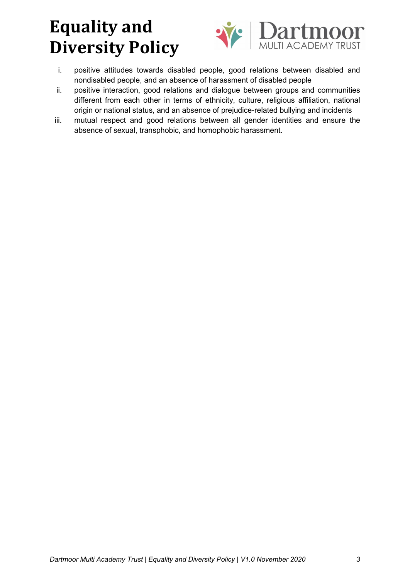

- i. positive attitudes towards disabled people, good relations between disabled and nondisabled people, and an absence of harassment of disabled people
- ii. positive interaction, good relations and dialogue between groups and communities different from each other in terms of ethnicity, culture, religious affiliation, national origin or national status, and an absence of prejudice-related bullying and incidents
- iii. mutual respect and good relations between all gender identities and ensure the absence of sexual, transphobic, and homophobic harassment.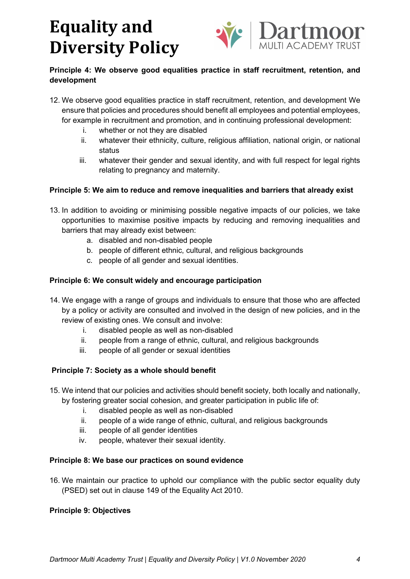

### **Principle 4: We observe good equalities practice in staff recruitment, retention, and development**

- 12. We observe good equalities practice in staff recruitment, retention, and development We ensure that policies and procedures should benefit all employees and potential employees, for example in recruitment and promotion, and in continuing professional development:
	- i. whether or not they are disabled
	- ii. whatever their ethnicity, culture, religious affiliation, national origin, or national status
	- iii. whatever their gender and sexual identity, and with full respect for legal rights relating to pregnancy and maternity.

#### **Principle 5: We aim to reduce and remove inequalities and barriers that already exist**

- 13. In addition to avoiding or minimising possible negative impacts of our policies, we take opportunities to maximise positive impacts by reducing and removing inequalities and barriers that may already exist between:
	- a. disabled and non-disabled people
	- b. people of different ethnic, cultural, and religious backgrounds
	- c. people of all gender and sexual identities.

#### **Principle 6: We consult widely and encourage participation**

14. We engage with a range of groups and individuals to ensure that those who are affected by a policy or activity are consulted and involved in the design of new policies, and in the review of existing ones. We consult and involve:

- i. disabled people as well as non-disabled
- ii. people from a range of ethnic, cultural, and religious backgrounds
- iii. people of all gender or sexual identities

#### **Principle 7: Society as a whole should benefit**

15. We intend that our policies and activities should benefit society, both locally and nationally,

by fostering greater social cohesion, and greater participation in public life of:

- i. disabled people as well as non-disabled
- ii. people of a wide range of ethnic, cultural, and religious backgrounds
- iii. people of all gender identities
- iv. people, whatever their sexual identity.

#### **Principle 8: We base our practices on sound evidence**

16. We maintain our practice to uphold our compliance with the public sector equality duty (PSED) set out in clause 149 of the Equality Act 2010.

#### **Principle 9: Objectives**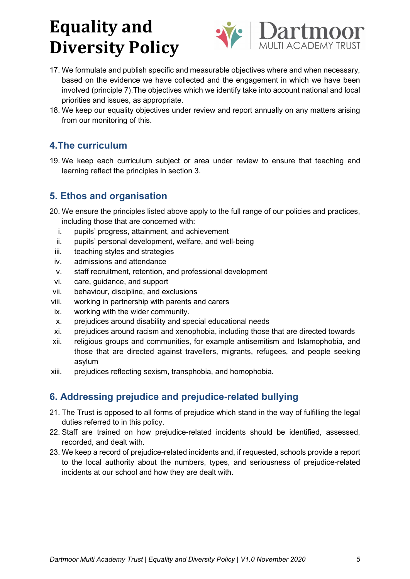



- 17. We formulate and publish specific and measurable objectives where and when necessary, based on the evidence we have collected and the engagement in which we have been involved (principle 7).The objectives which we identify take into account national and local priorities and issues, as appropriate.
- 18. We keep our equality objectives under review and report annually on any matters arising from our monitoring of this.

## **4.The curriculum**

19. We keep each curriculum subject or area under review to ensure that teaching and learning reflect the principles in section 3.

## **5. Ethos and organisation**

- 20. We ensure the principles listed above apply to the full range of our policies and practices, including those that are concerned with:
	- i. pupils' progress, attainment, and achievement
	- ii. pupils' personal development, welfare, and well-being
	- iii. teaching styles and strategies
	- iv. admissions and attendance
	- v. staff recruitment, retention, and professional development
	- vi. care, guidance, and support
- vii. behaviour, discipline, and exclusions
- viii. working in partnership with parents and carers
- ix. working with the wider community.
- x. prejudices around disability and special educational needs
- xi. prejudices around racism and xenophobia, including those that are directed towards
- xii. religious groups and communities, for example antisemitism and Islamophobia, and those that are directed against travellers, migrants, refugees, and people seeking asylum
- xiii. prejudices reflecting sexism, transphobia, and homophobia.

## **6. Addressing prejudice and prejudice-related bullying**

- 21. The Trust is opposed to all forms of prejudice which stand in the way of fulfilling the legal duties referred to in this policy.
- 22. Staff are trained on how prejudice-related incidents should be identified, assessed, recorded, and dealt with.
- 23. We keep a record of prejudice-related incidents and, if requested, schools provide a report to the local authority about the numbers, types, and seriousness of prejudice-related incidents at our school and how they are dealt with.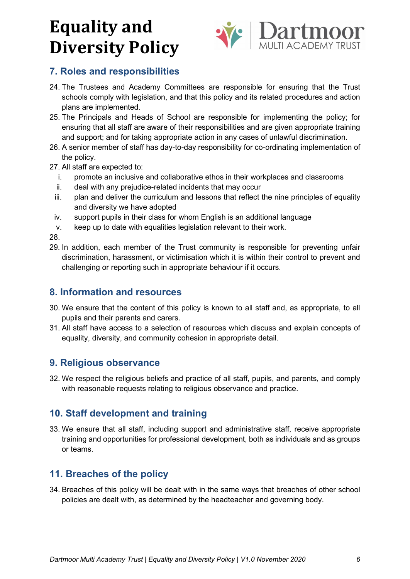

## **7. Roles and responsibilities**

- 24. The Trustees and Academy Committees are responsible for ensuring that the Trust schools comply with legislation, and that this policy and its related procedures and action plans are implemented.
- 25. The Principals and Heads of School are responsible for implementing the policy; for ensuring that all staff are aware of their responsibilities and are given appropriate training and support; and for taking appropriate action in any cases of unlawful discrimination.
- 26. A senior member of staff has day-to-day responsibility for co-ordinating implementation of the policy.
- 27. All staff are expected to:
	- i. promote an inclusive and collaborative ethos in their workplaces and classrooms
	- ii. deal with any prejudice-related incidents that may occur
	- iii. plan and deliver the curriculum and lessons that reflect the nine principles of equality and diversity we have adopted
	- iv. support pupils in their class for whom English is an additional language
	- v. keep up to date with equalities legislation relevant to their work.

28.

29. In addition, each member of the Trust community is responsible for preventing unfair discrimination, harassment, or victimisation which it is within their control to prevent and challenging or reporting such in appropriate behaviour if it occurs.

### **8. Information and resources**

- 30. We ensure that the content of this policy is known to all staff and, as appropriate, to all pupils and their parents and carers.
- 31. All staff have access to a selection of resources which discuss and explain concepts of equality, diversity, and community cohesion in appropriate detail.

### **9. Religious observance**

32. We respect the religious beliefs and practice of all staff, pupils, and parents, and comply with reasonable requests relating to religious observance and practice.

## **10. Staff development and training**

33. We ensure that all staff, including support and administrative staff, receive appropriate training and opportunities for professional development, both as individuals and as groups or teams.

## **11. Breaches of the policy**

34. Breaches of this policy will be dealt with in the same ways that breaches of other school policies are dealt with, as determined by the headteacher and governing body.